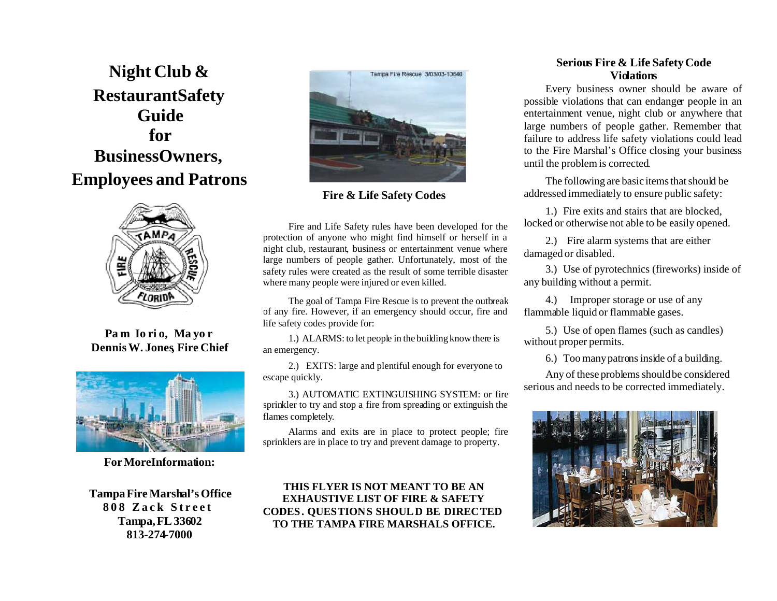**Night Club & RestaurantSafety Guide for BusinessOwners, Employees and Patrons** 



**Pa m Io ri o, Ma yo r Dennis W. Jones, Fire Chief** 



**ForMoreInformation:** 

**Tampa Fire Marshal's Office 8 0 8 Z a c k S t r e e t Tampa, FL 33602 813-274-7000** 



**Fire & Life Safety Codes** 

Fire and Life Safety rules have been developed for the protection of anyone who might find himself or herself in a night club, restaurant, business or entertainment venue where large numbers of people gather. Unfortunately, most of the safety rules were created as the result of some terrible disaster where many people were injured or even killed.

The goal of Tampa Fire Rescue is to prevent the outbreak of any fire. However, if an emergency should occur, fire and life safety codes provide for:

1.) ALARMS: to let people in the building know there is an emergency.

2.) EXITS: large and plentiful enough for everyone to escape quickly.

3.) AUTOMATIC EXTINGUISHING SYSTEM: or fire sprinkler to try and stop a fire from spreading or extinguish the flames completely.

Alarms and exits are in place to protect people; fire sprinklers are in place to try and prevent damage to property.

**THIS FLYER IS NOT MEANT TO BE AN EXHAUSTIVE LIST OF FIRE & SAFETY CODES. QUESTIONS SHOULD BE DIRECTED TO THE TAMPA FIRE MARSHALS OFFICE.** 

## **Serious Fire & Life Safety Code Violations**

Every business owner should be aware of possible violations that can endanger people in an entertainment venue, night club or anywhere that large numbers of people gather. Remember that failure to address life safety violations could lead to the Fire Marshal's Office closing your business until the problem is corrected.

The following are basic items that should be addressed immediately to ensure public safety:

1.) Fire exits and stairs that are blocked, locked or otherwise not able to be easily opened.

2.) Fire alarm systems that are either damaged or disabled.

3.) Use of pyrotechnics (fireworks) inside of any building without a permit.

4.) Improper storage or use of any flammable liquid or flammable gases.

5.) Use of open flames (such as candles) without proper permits.

6.) Too many patrons inside of a building.

Any of these problems should be considered serious and needs to be corrected immediately.